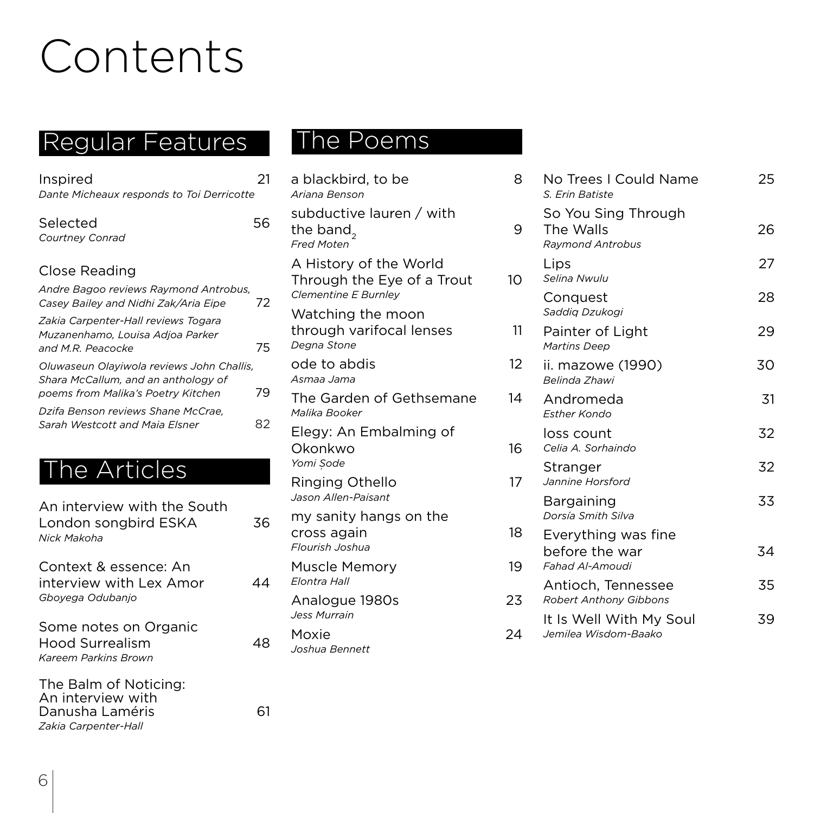## Contents

## Regular Features The Poems

| Inspired<br>Dante Micheaux responds to Toi Derricotte                                                                  | 21 |
|------------------------------------------------------------------------------------------------------------------------|----|
| Selected<br>Courtney Conrad                                                                                            | 56 |
| Close Reading                                                                                                          |    |
| Andre Bagoo reviews Raymond Antrobus,<br>Casey Bailey and Nidhi Zak/Aria Eipe                                          | 72 |
| Zakia Carpenter-Hall reviews Togara<br>Muzanenhamo, Louisa Adjoa Parker<br>and M.R. Peacocke                           | 75 |
| Oluwaseun Olayiwola reviews John Challis,<br>Shara McCallum, and an anthology of<br>poems from Malika's Poetry Kitchen | 79 |
| Dzifa Benson reviews Shane McCrae.<br>Sarah Westcott and Maia Elsner                                                   | 82 |
|                                                                                                                        |    |

## The Articles

| An interview with the South |    |
|-----------------------------|----|
| London songbird ESKA        | 36 |
| Nick Makoha                 |    |

Context & essence: An interview with Lex Amor 44 *Gboyega Odubanjo*

Some notes on Organic Hood Surrealism 48 *Kareem Parkins Brown*

The Balm of Noticing: An interview with Danusha Laméris 61 *Zakia Carpenter-Hall*

| a blackbird, to be<br>Ariana Benson                                          | 8  |
|------------------------------------------------------------------------------|----|
| subductive lauren / with<br>the band,<br><b>Fred Moten</b>                   | 9  |
| A History of the World<br>Through the Eye of a Trout<br>Clementine E Burnley | 10 |
| Watching the moon<br>through varifocal lenses<br>Degna Stone                 | 11 |
| ode to abdis<br>Asmaa Jama                                                   | 12 |
| The Garden of Gethsemane<br>Malika Booker                                    | 14 |
| Elegy: An Embalming of<br>Okonkwo<br>Yomi Sode                               | 16 |
| Ringing Othello<br>Jason Allen-Paisant                                       | 17 |
| my sanity hangs on the<br>cross again<br>Flourish Joshua                     | 18 |
| Muscle Memory<br>Elontra Hall                                                | 19 |
| Analogue 1980s<br><b>Jess Murrain</b>                                        | 23 |
| Moxie<br>Joshua Bennett                                                      | 24 |
|                                                                              |    |

| 8              | No Trees I Could Name<br>S. Erin Batiste                    | 25 |
|----------------|-------------------------------------------------------------|----|
| 9              | So You Sing Through<br>The Walls<br><b>Raymond Antrobus</b> | 26 |
| 10             | Lips<br>Selina Nwulu                                        | 27 |
|                | Conquest<br>Saddig Dzukogi                                  | 28 |
| 11             | Painter of Light<br><b>Martins Deep</b>                     | 29 |
| 12             | ii. mazowe (1990)<br>Belinda Zhawi                          | 30 |
| 14             | Andromeda<br><b>Esther Kondo</b>                            | 31 |
| 16             | loss count<br>Celia A. Sorhaindo                            | 32 |
| 17             | Stranger<br>Jannine Horsford                                | 32 |
|                | Bargaining<br>Dorsía Smith Silva                            | 33 |
| 18<br>19       | Everything was fine<br>before the war<br>Fahad Al-Amoudi    | 34 |
| 23             | Antioch, Tennessee<br>Robert Anthony Gibbons                | 35 |
| $\overline{4}$ | It Is Well With My Soul<br>Jemilea Wisdom-Baako             | 39 |